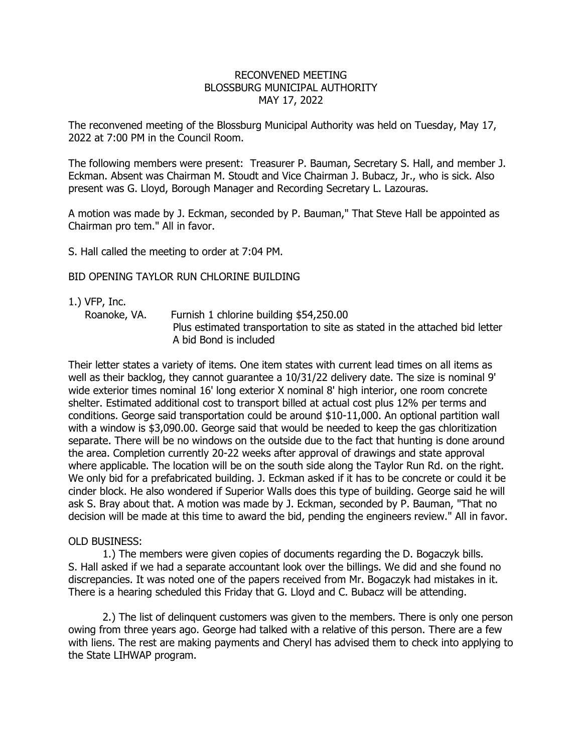## RECONVENED MEETING BLOSSBURG MUNICIPAL AUTHORITY MAY 17, 2022

The reconvened meeting of the Blossburg Municipal Authority was held on Tuesday, May 17, 2022 at 7:00 PM in the Council Room.

The following members were present: Treasurer P. Bauman, Secretary S. Hall, and member J. Eckman. Absent was Chairman M. Stoudt and Vice Chairman J. Bubacz, Jr., who is sick. Also present was G. Lloyd, Borough Manager and Recording Secretary L. Lazouras.

A motion was made by J. Eckman, seconded by P. Bauman," That Steve Hall be appointed as Chairman pro tem." All in favor.

S. Hall called the meeting to order at 7:04 PM.

## BID OPENING TAYLOR RUN CHLORINE BUILDING

- 1.) VFP, Inc.
	-
- Roanoke, VA. Furnish 1 chlorine building \$54,250.00

 Plus estimated transportation to site as stated in the attached bid letter A bid Bond is included

Their letter states a variety of items. One item states with current lead times on all items as well as their backlog, they cannot guarantee a 10/31/22 delivery date. The size is nominal 9' wide exterior times nominal 16' long exterior X nominal 8' high interior, one room concrete shelter. Estimated additional cost to transport billed at actual cost plus 12% per terms and conditions. George said transportation could be around \$10-11,000. An optional partition wall with a window is \$3,090.00. George said that would be needed to keep the gas chloritization separate. There will be no windows on the outside due to the fact that hunting is done around the area. Completion currently 20-22 weeks after approval of drawings and state approval where applicable. The location will be on the south side along the Taylor Run Rd. on the right. We only bid for a prefabricated building. J. Eckman asked if it has to be concrete or could it be cinder block. He also wondered if Superior Walls does this type of building. George said he will ask S. Bray about that. A motion was made by J. Eckman, seconded by P. Bauman, "That no decision will be made at this time to award the bid, pending the engineers review." All in favor.

## OLD BUSINESS:

1.) The members were given copies of documents regarding the D. Bogaczyk bills. S. Hall asked if we had a separate accountant look over the billings. We did and she found no discrepancies. It was noted one of the papers received from Mr. Bogaczyk had mistakes in it. There is a hearing scheduled this Friday that G. Lloyd and C. Bubacz will be attending.

2.) The list of delinquent customers was given to the members. There is only one person owing from three years ago. George had talked with a relative of this person. There are a few with liens. The rest are making payments and Cheryl has advised them to check into applying to the State LIHWAP program.